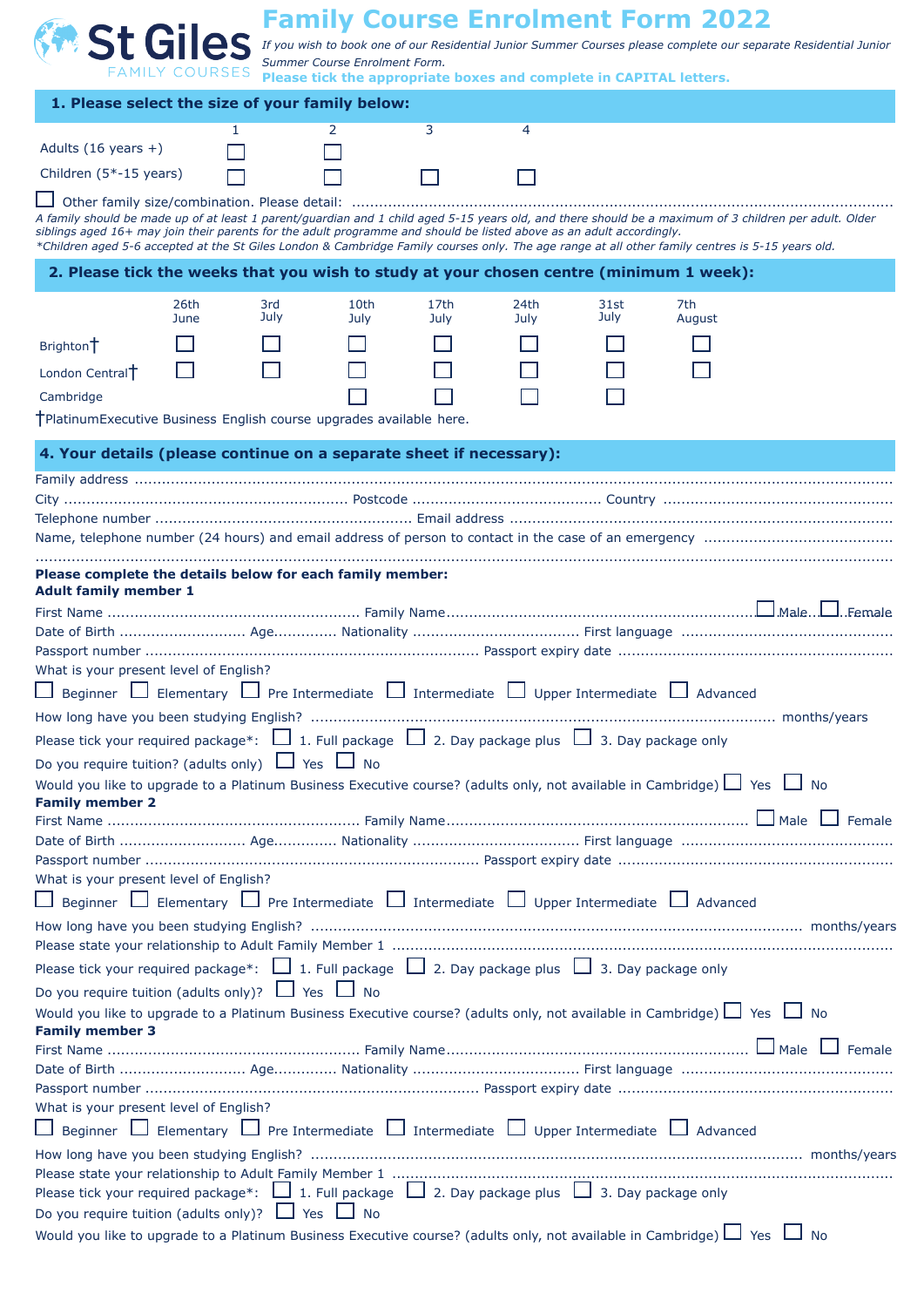| <b>St Giles</b><br>If you wish to book one of our Residential Junior Summer Courses please complete our separate Residential Junior<br>Summer Course Enrolment Form.<br><b>FAMILY COURSES</b><br>Please tick the appropriate boxes and complete in CAPITAL letters.<br>1. Please select the size of your family below:<br>3<br>$\overline{4}$<br>2<br>1.                                                                           |
|------------------------------------------------------------------------------------------------------------------------------------------------------------------------------------------------------------------------------------------------------------------------------------------------------------------------------------------------------------------------------------------------------------------------------------|
|                                                                                                                                                                                                                                                                                                                                                                                                                                    |
|                                                                                                                                                                                                                                                                                                                                                                                                                                    |
|                                                                                                                                                                                                                                                                                                                                                                                                                                    |
|                                                                                                                                                                                                                                                                                                                                                                                                                                    |
| Adults $(16 \text{ years } +)$                                                                                                                                                                                                                                                                                                                                                                                                     |
| Children (5*-15 years)                                                                                                                                                                                                                                                                                                                                                                                                             |
| A family should be made up of at least 1 parent/guardian and 1 child aged 5-15 years old, and there should be a maximum of 3 children per adult. Older<br>siblings aged 16+ may join their parents for the adult programme and should be listed above as an adult accordingly.<br>*Children aged 5-6 accepted at the St Giles London & Cambridge Family courses only. The age range at all other family centres is 5-15 years old. |
| 2. Please tick the weeks that you wish to study at your chosen centre (minimum 1 week):                                                                                                                                                                                                                                                                                                                                            |
| 26th<br>10th<br>17th<br>24th<br>7th<br>3rd<br>31st                                                                                                                                                                                                                                                                                                                                                                                 |
| July<br>July<br>June<br>July<br>July<br>August<br>July                                                                                                                                                                                                                                                                                                                                                                             |
| Brighton <sup>+</sup>                                                                                                                                                                                                                                                                                                                                                                                                              |
| London Central <sup>+</sup>                                                                                                                                                                                                                                                                                                                                                                                                        |
| Cambridge                                                                                                                                                                                                                                                                                                                                                                                                                          |
| †PlatinumExecutive Business English course upgrades available here.                                                                                                                                                                                                                                                                                                                                                                |
| 4. Your details (please continue on a separate sheet if necessary):                                                                                                                                                                                                                                                                                                                                                                |
|                                                                                                                                                                                                                                                                                                                                                                                                                                    |
|                                                                                                                                                                                                                                                                                                                                                                                                                                    |
|                                                                                                                                                                                                                                                                                                                                                                                                                                    |
|                                                                                                                                                                                                                                                                                                                                                                                                                                    |
| Please complete the details below for each family member:<br><b>Adult family member 1</b>                                                                                                                                                                                                                                                                                                                                          |
|                                                                                                                                                                                                                                                                                                                                                                                                                                    |
|                                                                                                                                                                                                                                                                                                                                                                                                                                    |
|                                                                                                                                                                                                                                                                                                                                                                                                                                    |
| What is your present level of English?                                                                                                                                                                                                                                                                                                                                                                                             |
| Beginner $\Box$ Elementary $\Box$ Pre Intermediate $\Box$ Intermediate $\Box$ Upper Intermediate $\Box$ Advanced                                                                                                                                                                                                                                                                                                                   |
| Please tick your required package*: $\Box$ 1. Full package $\Box$ 2. Day package plus $\Box$ 3. Day package only                                                                                                                                                                                                                                                                                                                   |
| Do you require tuition? (adults only) $\Box$ Yes $\Box$ No                                                                                                                                                                                                                                                                                                                                                                         |
| Would you like to upgrade to a Platinum Business Executive course? (adults only, not available in Cambridge) $\Box$ Yes $\Box$ No                                                                                                                                                                                                                                                                                                  |
| <b>Family member 2</b>                                                                                                                                                                                                                                                                                                                                                                                                             |
|                                                                                                                                                                                                                                                                                                                                                                                                                                    |
|                                                                                                                                                                                                                                                                                                                                                                                                                                    |
| What is your present level of English?                                                                                                                                                                                                                                                                                                                                                                                             |
| $\Box$ Beginner $\Box$ Elementary $\Box$ Pre Intermediate $\Box$ Intermediate $\Box$ Upper Intermediate $\Box$ Advanced                                                                                                                                                                                                                                                                                                            |
|                                                                                                                                                                                                                                                                                                                                                                                                                                    |
|                                                                                                                                                                                                                                                                                                                                                                                                                                    |
|                                                                                                                                                                                                                                                                                                                                                                                                                                    |
| Please tick your required package*: $\Box$ 1. Full package $\Box$ 2. Day package plus $\Box$ 3. Day package only                                                                                                                                                                                                                                                                                                                   |
| Do you require tuition (adults only)? $\Box$ Yes $\Box$ No                                                                                                                                                                                                                                                                                                                                                                         |
| Would you like to upgrade to a Platinum Business Executive course? (adults only, not available in Cambridge) $\Box$ Yes $\Box$ No<br><b>Family member 3</b>                                                                                                                                                                                                                                                                        |
|                                                                                                                                                                                                                                                                                                                                                                                                                                    |
|                                                                                                                                                                                                                                                                                                                                                                                                                                    |
| What is your present level of English?                                                                                                                                                                                                                                                                                                                                                                                             |
| $\Box$ Beginner $\Box$ Elementary $\Box$ Pre Intermediate $\Box$ Intermediate $\Box$ Upper Intermediate $\Box$ Advanced                                                                                                                                                                                                                                                                                                            |
|                                                                                                                                                                                                                                                                                                                                                                                                                                    |
|                                                                                                                                                                                                                                                                                                                                                                                                                                    |
| Please tick your required package*: $\Box$ 1. Full package $\Box$ 2. Day package plus $\Box$ 3. Day package only<br>Do you require tuition (adults only)? $\Box$ Yes $\Box$ No                                                                                                                                                                                                                                                     |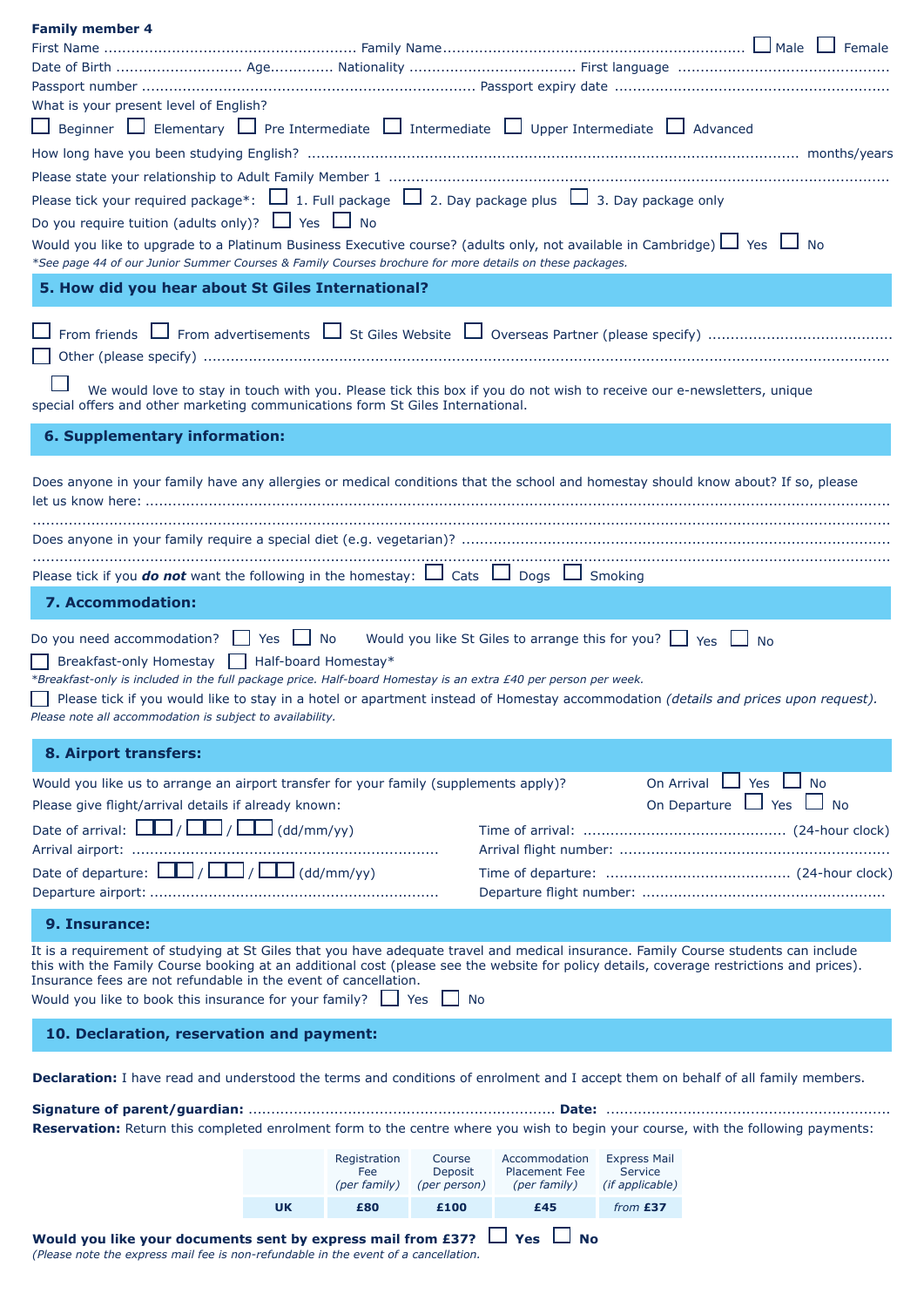| <b>Family member 4</b>                                                                                                                                                                                                                                                                                                                                                                                                  |           |                                     |                                   |                                                       |           |                                                                       |  |     |           |
|-------------------------------------------------------------------------------------------------------------------------------------------------------------------------------------------------------------------------------------------------------------------------------------------------------------------------------------------------------------------------------------------------------------------------|-----------|-------------------------------------|-----------------------------------|-------------------------------------------------------|-----------|-----------------------------------------------------------------------|--|-----|-----------|
|                                                                                                                                                                                                                                                                                                                                                                                                                         |           |                                     |                                   |                                                       |           |                                                                       |  |     |           |
|                                                                                                                                                                                                                                                                                                                                                                                                                         |           |                                     |                                   |                                                       |           |                                                                       |  |     |           |
| What is your present level of English?                                                                                                                                                                                                                                                                                                                                                                                  |           |                                     |                                   |                                                       |           |                                                                       |  |     |           |
| $\Box$ Beginner $\Box$ Elementary $\Box$ Pre Intermediate $\Box$ Intermediate $\Box$ Upper Intermediate $\Box$ Advanced                                                                                                                                                                                                                                                                                                 |           |                                     |                                   |                                                       |           |                                                                       |  |     |           |
|                                                                                                                                                                                                                                                                                                                                                                                                                         |           |                                     |                                   |                                                       |           |                                                                       |  |     |           |
|                                                                                                                                                                                                                                                                                                                                                                                                                         |           |                                     |                                   |                                                       |           |                                                                       |  |     |           |
| Please tick your required package*: $\Box$ 1. Full package $\Box$ 2. Day package plus $\Box$ 3. Day package only                                                                                                                                                                                                                                                                                                        |           |                                     |                                   |                                                       |           |                                                                       |  |     |           |
| Do you require tuition (adults only)? $\Box$ Yes $\Box$ No                                                                                                                                                                                                                                                                                                                                                              |           |                                     |                                   |                                                       |           |                                                                       |  |     |           |
| Would you like to upgrade to a Platinum Business Executive course? (adults only, not available in Cambridge) □ Yes □ No<br>*See page 44 of our Junior Summer Courses & Family Courses brochure for more details on these packages.                                                                                                                                                                                      |           |                                     |                                   |                                                       |           |                                                                       |  |     |           |
| 5. How did you hear about St Giles International?                                                                                                                                                                                                                                                                                                                                                                       |           |                                     |                                   |                                                       |           |                                                                       |  |     |           |
|                                                                                                                                                                                                                                                                                                                                                                                                                         |           |                                     |                                   |                                                       |           |                                                                       |  |     |           |
|                                                                                                                                                                                                                                                                                                                                                                                                                         |           |                                     |                                   |                                                       |           |                                                                       |  |     |           |
| We would love to stay in touch with you. Please tick this box if you do not wish to receive our e-newsletters, unique                                                                                                                                                                                                                                                                                                   |           |                                     |                                   |                                                       |           |                                                                       |  |     |           |
| special offers and other marketing communications form St Giles International.                                                                                                                                                                                                                                                                                                                                          |           |                                     |                                   |                                                       |           |                                                                       |  |     |           |
| 6. Supplementary information:                                                                                                                                                                                                                                                                                                                                                                                           |           |                                     |                                   |                                                       |           |                                                                       |  |     |           |
| Does anyone in your family have any allergies or medical conditions that the school and homestay should know about? If so, please                                                                                                                                                                                                                                                                                       |           |                                     |                                   |                                                       |           |                                                                       |  |     |           |
|                                                                                                                                                                                                                                                                                                                                                                                                                         |           |                                     |                                   |                                                       |           |                                                                       |  |     |           |
| Please tick if you <b>do not</b> want the following in the homestay: $\Box$ Cats $\Box$ Dogs $\Box$ Smoking                                                                                                                                                                                                                                                                                                             |           |                                     |                                   |                                                       |           |                                                                       |  |     |           |
| 7. Accommodation:                                                                                                                                                                                                                                                                                                                                                                                                       |           |                                     |                                   |                                                       |           |                                                                       |  |     |           |
| Do you need accommodation? $\Box$ Yes $\Box$ No<br>Breakfast-only Homestay   Half-board Homestay*<br>*Breakfast-only is included in the full package price. Half-board Homestay is an extra £40 per person per week.<br>Please tick if you would like to stay in a hotel or apartment instead of Homestay accommodation (details and prices upon request).<br>Please note all accommodation is subject to availability. |           |                                     |                                   |                                                       |           | Would you like St Giles to arrange this for you? $\Box$ Yes $\Box$ No |  |     |           |
| 8. Airport transfers:                                                                                                                                                                                                                                                                                                                                                                                                   |           |                                     |                                   |                                                       |           |                                                                       |  |     |           |
| Would you like us to arrange an airport transfer for your family (supplements apply)?                                                                                                                                                                                                                                                                                                                                   |           |                                     |                                   |                                                       |           | On Arrival                                                            |  | Yes | <b>No</b> |
| Please give flight/arrival details if already known:                                                                                                                                                                                                                                                                                                                                                                    |           |                                     |                                   | On Departure $\Box$ Yes $\Box$ No                     |           |                                                                       |  |     |           |
| Date of arrival: $\boxed{\Box}$ / $\boxed{\Box}$ / $\boxed{\Box}$ (dd/mm/yy)                                                                                                                                                                                                                                                                                                                                            |           |                                     |                                   |                                                       |           |                                                                       |  |     |           |
|                                                                                                                                                                                                                                                                                                                                                                                                                         |           |                                     |                                   |                                                       |           |                                                                       |  |     |           |
| Date of departure: $\boxed{\underline{\qquad}}$ / $\boxed{\underline{\qquad}}$ / $\boxed{\underline{\qquad}}$ (dd/mm/yy)                                                                                                                                                                                                                                                                                                |           |                                     |                                   |                                                       |           |                                                                       |  |     |           |
|                                                                                                                                                                                                                                                                                                                                                                                                                         |           |                                     |                                   |                                                       |           |                                                                       |  |     |           |
| 9. Insurance:                                                                                                                                                                                                                                                                                                                                                                                                           |           |                                     |                                   |                                                       |           |                                                                       |  |     |           |
| It is a requirement of studying at St Giles that you have adequate travel and medical insurance. Family Course students can include<br>this with the Family Course booking at an additional cost (please see the website for policy details, coverage restrictions and prices).<br>Insurance fees are not refundable in the event of cancellation.<br>Would you like to book this insurance for your family? $\Box$ Yes |           |                                     | No                                |                                                       |           |                                                                       |  |     |           |
| 10. Declaration, reservation and payment:                                                                                                                                                                                                                                                                                                                                                                               |           |                                     |                                   |                                                       |           |                                                                       |  |     |           |
| Declaration: I have read and understood the terms and conditions of enrolment and I accept them on behalf of all family members.                                                                                                                                                                                                                                                                                        |           |                                     |                                   |                                                       |           |                                                                       |  |     |           |
| Reservation: Return this completed enrolment form to the centre where you wish to begin your course, with the following payments:                                                                                                                                                                                                                                                                                       |           |                                     |                                   |                                                       |           |                                                                       |  |     |           |
|                                                                                                                                                                                                                                                                                                                                                                                                                         |           |                                     |                                   |                                                       |           |                                                                       |  |     |           |
|                                                                                                                                                                                                                                                                                                                                                                                                                         |           | Registration<br>Fee<br>(per family) | Course<br>Deposit<br>(per person) | Accommodation<br><b>Placement Fee</b><br>(per family) |           | <b>Express Mail</b><br><b>Service</b><br>(if applicable)              |  |     |           |
|                                                                                                                                                                                                                                                                                                                                                                                                                         | <b>UK</b> | £80                                 | £100                              | £45                                                   |           | from £37                                                              |  |     |           |
| Would you like your documents sent by express mail from £37?                                                                                                                                                                                                                                                                                                                                                            |           |                                     |                                   | Yes                                                   | <b>No</b> |                                                                       |  |     |           |

*(Please note the express mail fee is non-refundable in the event of a cancellation.*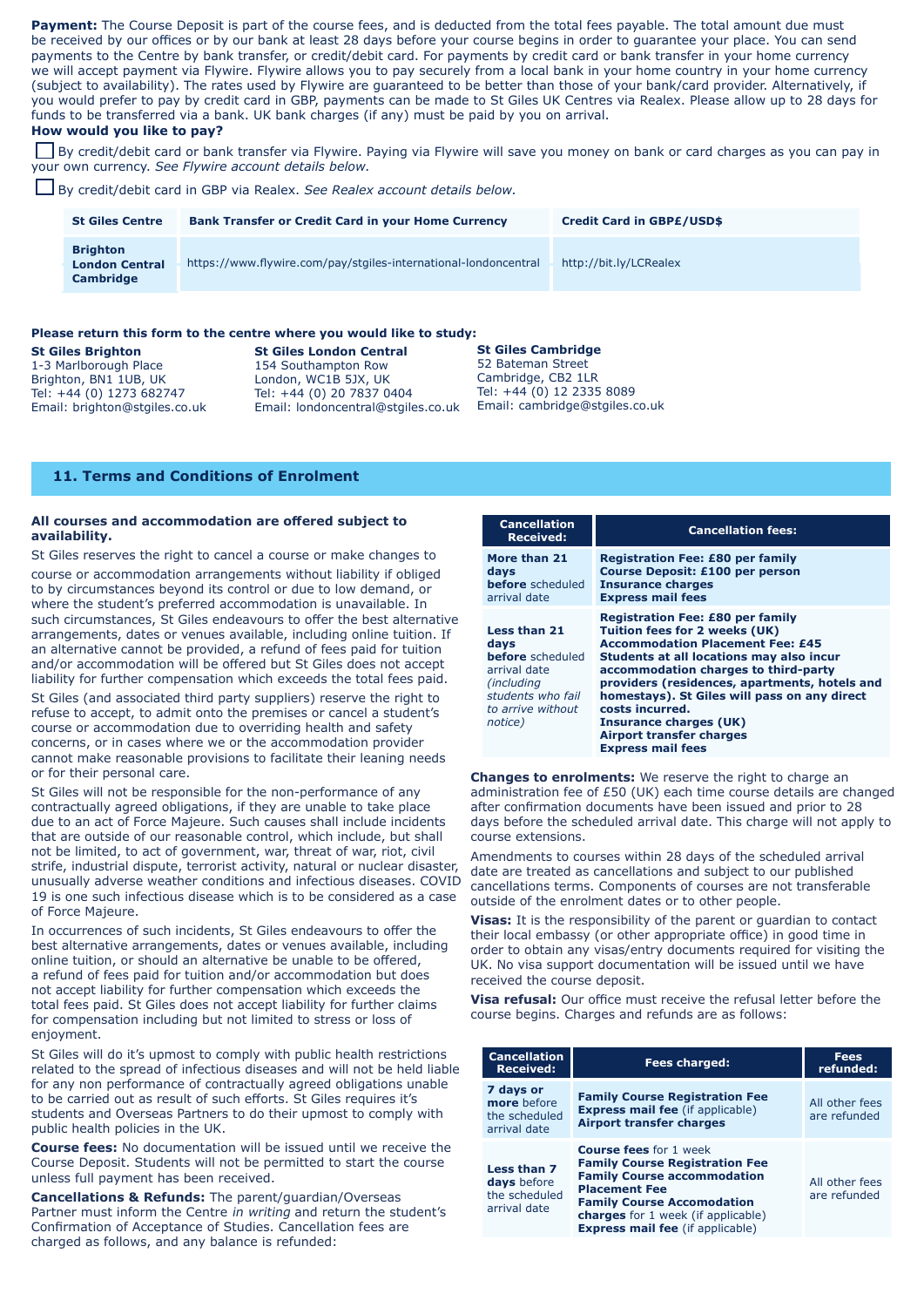**How would you like to pay?** Payment: The Course Deposit is part of the course fees, and is deducted from the total fees payable. The total amount due must be received by our offices or by our bank at least 28 days before your course begins in order to guarantee your place. You can send payments to the Centre by bank transfer, or credit/debit card. For payments by credit card or bank transfer in your home currency we will accept payment via Flywire. Flywire allows you to pay securely from a local bank in your home country in your home currency (subject to availability). The rates used by Flywire are guaranteed to be better than those of your bank/card provider. Alternatively, if you would prefer to pay by credit card in GBP, payments can be made to St Giles UK Centres via Realex. Please allow up to 28 days for funds to be transferred via a bank. UK bank charges (if any) must be paid by you on arrival.

By credit/debit card or bank transfer via Flywire. Paying via Flywire will save you money on bank or card charges as you can pay in your own currency. *See Flywire account details below.*

By credit/debit card in GBP via Realex. *See Realex account details below.*

| <b>St Giles Centre</b>                                | <b>Bank Transfer or Credit Card in your Home Currency</b>       | <b>Credit Card in GBP£/USD\$</b> |
|-------------------------------------------------------|-----------------------------------------------------------------|----------------------------------|
| <b>Brighton</b><br><b>London Central</b><br>Cambridge | https://www.flywire.com/pay/stgiles-international-londoncentral | http://bit.ly/LCRealex           |

## **Please return this form to the centre where you would like to study:**

**St Giles Brighton**<br>
1-3 Marlborough Place<br>
154 Southampton Row Brighton, BN1 1UB, UK<br>Tel: +44 (0) 1273 682747

154 Southampton Row<br>London, WC1B 5JX, UK Tel: +44 (0) 20 7837 0404 Email: brighton@stgiles.co.uk Email: londoncentral@stgiles.co.uk

**St Giles Cambridge** 52 Bateman Street Cambridge, CB2 1LR Tel: +44 (0) 12 2335 8089 Email: cambridge@stgiles.co.uk

## **11. Terms and Conditions of Enrolment**

## **All courses and accommodation are offered subject to availability.**

St Giles reserves the right to cancel a course or make changes to

course or accommodation arrangements without liability if obliged to by circumstances beyond its control or due to low demand, or where the student's preferred accommodation is unavailable. In such circumstances, St Giles endeavours to offer the best alternative arrangements, dates or venues available, including online tuition. If an alternative cannot be provided, a refund of fees paid for tuition and/or accommodation will be offered but St Giles does not accept liability for further compensation which exceeds the total fees paid.

St Giles (and associated third party suppliers) reserve the right to refuse to accept, to admit onto the premises or cancel a student's course or accommodation due to overriding health and safety concerns, or in cases where we or the accommodation provider cannot make reasonable provisions to facilitate their leaning needs or for their personal care.

St Giles will not be responsible for the non-performance of any contractually agreed obligations, if they are unable to take place due to an act of Force Majeure. Such causes shall include incidents that are outside of our reasonable control, which include, but shall not be limited, to act of government, war, threat of war, riot, civil strife, industrial dispute, terrorist activity, natural or nuclear disaster, unusually adverse weather conditions and infectious diseases. COVID 19 is one such infectious disease which is to be considered as a case of Force Majeure.

In occurrences of such incidents, St Giles endeavours to offer the best alternative arrangements, dates or venues available, including online tuition, or should an alternative be unable to be offered, a refund of fees paid for tuition and/or accommodation but does not accept liability for further compensation which exceeds the total fees paid. St Giles does not accept liability for further claims for compensation including but not limited to stress or loss of enjoyment.

St Giles will do it's upmost to comply with public health restrictions related to the spread of infectious diseases and will not be held liable for any non performance of contractually agreed obligations unable to be carried out as result of such efforts. St Giles requires it's students and Overseas Partners to do their upmost to comply with public health policies in the UK.

**Course fees:** No documentation will be issued until we receive the Course Deposit. Students will not be permitted to start the course unless full payment has been received.

**Cancellations & Refunds:** The parent/guardian/Overseas Partner must inform the Centre in writing and return the student's Confirmation of Acceptance of Studies. Cancellation fees are charged as follows, and any balance is refunded:

| <b>Cancellation</b><br><b>Received:</b>                                                                                                   | <b>Cancellation fees:</b>                                                                                                                                                                                                                                                                                                                                                                                            |
|-------------------------------------------------------------------------------------------------------------------------------------------|----------------------------------------------------------------------------------------------------------------------------------------------------------------------------------------------------------------------------------------------------------------------------------------------------------------------------------------------------------------------------------------------------------------------|
| More than 21<br>days<br><b>before</b> scheduled<br>arrival date                                                                           | <b>Registration Fee: £80 per family</b><br><b>Course Deposit: £100 per person</b><br><b>Insurance charges</b><br><b>Express mail fees</b>                                                                                                                                                                                                                                                                            |
| <b>Less than 21</b><br>days<br><b>before</b> scheduled<br>arrival date<br>(including<br>students who fail<br>to arrive without<br>notice) | <b>Registration Fee: £80 per family</b><br>Tuition fees for 2 weeks (UK)<br><b>Accommodation Placement Fee: £45</b><br>Students at all locations may also incur<br>accommodation charges to third-party<br>providers (residences, apartments, hotels and<br>homestays). St Giles will pass on any direct<br>costs incurred.<br>Insurance charges (UK)<br><b>Airport transfer charges</b><br><b>Express mail fees</b> |

**Changes to enrolments:** We reserve the right to charge an administration fee of £50 (UK) each time course details are changed after confirmation documents have been issued and prior to 28 days before the scheduled arrival date. This charge will not apply to course extensions.

Amendments to courses within 28 days of the scheduled arrival date are treated as cancellations and subject to our published cancellations terms. Components of courses are not transferable outside of the enrolment dates or to other people.

**Visas:** It is the responsibility of the parent or guardian to contact their local embassy (or other appropriate office) in good time in order to obtain any visas/entry documents required for visiting the UK. No visa support documentation will be issued until we have received the course deposit.

**Visa refusal:** Our office must receive the refusal letter before the course begins. Charges and refunds are as follows:

| <b>Cancellation</b><br><b>Received:</b>                     | <b>Fees charged:</b>                                                                                                                                                                                                                                              | <b>Fees</b><br>refunded:       |
|-------------------------------------------------------------|-------------------------------------------------------------------------------------------------------------------------------------------------------------------------------------------------------------------------------------------------------------------|--------------------------------|
| 7 days or<br>more before<br>the scheduled<br>arrival date   | <b>Family Course Registration Fee</b><br><b>Express mail fee</b> (if applicable)<br><b>Airport transfer charges</b>                                                                                                                                               | All other fees<br>are refunded |
| Less than 7<br>days before<br>the scheduled<br>arrival date | <b>Course fees</b> for 1 week<br><b>Family Course Registration Fee</b><br><b>Family Course accommodation</b><br><b>Placement Fee</b><br><b>Family Course Accomodation</b><br><b>charges</b> for 1 week (if applicable)<br><b>Express mail fee</b> (if applicable) | All other fees<br>are refunded |